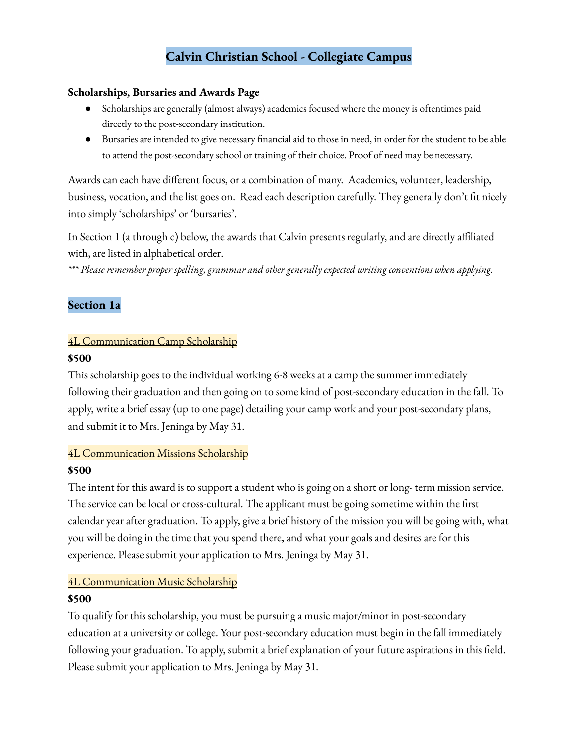## **Calvin Christian School - Collegiate Campus**

#### **Scholarships, Bursaries and Awards Page**

- Scholarships are generally (almost always) academics focused where the money is oftentimes paid directly to the post-secondary institution.
- Bursaries are intended to give necessary financial aid to those in need, in order for the student to be able to attend the post-secondary school or training of their choice. Proof of need may be necessary.

Awards can each have different focus, or a combination of many. Academics, volunteer, leadership, business, vocation, and the list goes on. Read each description carefully. They generally don't fit nicely into simply 'scholarships' or 'bursaries'.

In Section 1 (a through c) below, the awards that Calvin presents regularly, and are directly affiliated with, are listed in alphabetical order.

*\*\*\* Please remember proper spelling, grammar and other generally expected writing conventions when applying.*

## **Section 1a**

#### 4L Communication Camp Scholarship

#### **\$500**

This scholarship goes to the individual working 6-8 weeks at a camp the summer immediately following their graduation and then going on to some kind of post-secondary education in the fall. To apply, write a brief essay (up to one page) detailing your camp work and your post-secondary plans, and submit it to Mrs. Jeninga by May 31.

## 4L Communication Missions Scholarship

#### **\$500**

The intent for this award is to support a student who is going on a short or long- term mission service. The service can be local or cross-cultural. The applicant must be going sometime within the first calendar year after graduation. To apply, give a brief history of the mission you will be going with, what you will be doing in the time that you spend there, and what your goals and desires are for this experience. Please submit your application to Mrs. Jeninga by May 31.

## 4L Communication Music Scholarship

#### **\$500**

To qualify for this scholarship, you must be pursuing a music major/minor in post-secondary education at a university or college. Your post-secondary education must begin in the fall immediately following your graduation. To apply, submit a brief explanation of your future aspirations in this field. Please submit your application to Mrs. Jeninga by May 31.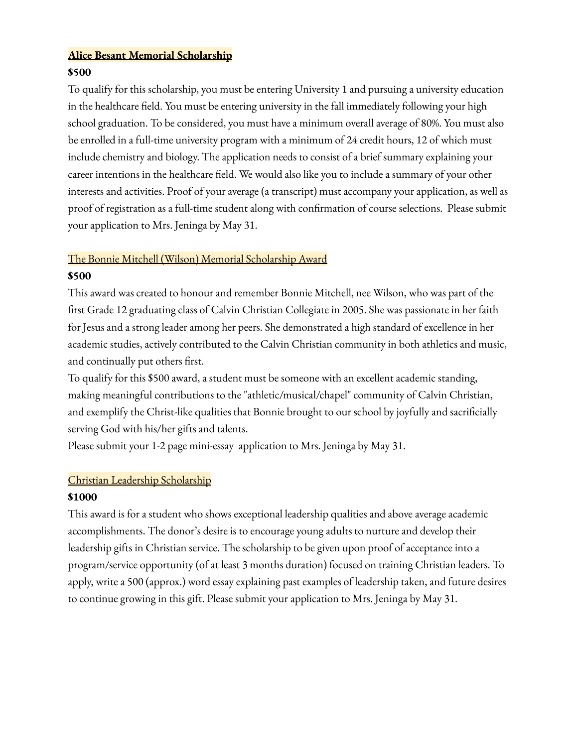## **Alice Besant Memorial Scholarship**

### **\$500**

To qualify for this scholarship, you must be entering University 1 and pursuing a university education in the healthcare field. You must be entering university in the fall immediately following your high school graduation. To be considered, you must have a minimum overall average of 80%. You must also be enrolled in a full-time university program with a minimum of 24 credit hours, 12 of which must include chemistry and biology. The application needs to consist of a brief summary explaining your career intentions in the healthcare field. We would also like you to include a summary of your other interests and activities. Proof of your average (a transcript) must accompany your application, as well as proof of registration as a full-time student along with confirmation of course selections. Please submit your application to Mrs. Jeninga by May 31.

## The Bonnie Mitchell (Wilson) Memorial Scholarship Award **\$500**

This award was created to honour and remember Bonnie Mitchell, nee Wilson, who was part of the first Grade 12 graduating class of Calvin Christian Collegiate in 2005. She was passionate in her faith for Jesus and a strong leader among her peers. She demonstrated a high standard of excellence in her academic studies, actively contributed to the Calvin Christian community in both athletics and music, and continually put others first.

To qualify for this \$500 award, a student must be someone with an excellent academic standing, making meaningful contributions to the "athletic/musical/chapel" community of Calvin Christian, and exemplify the Christ-like qualities that Bonnie brought to our school by joyfully and sacrificially serving God with his/her gifts and talents.

Please submit your 1-2 page mini-essay application to Mrs. Jeninga by May 31.

#### Christian Leadership Scholarship

## **\$1000**

This award is for a student who shows exceptional leadership qualities and above average academic accomplishments. The donor's desire is to encourage young adults to nurture and develop their leadership gifts in Christian service. The scholarship to be given upon proof of acceptance into a program/service opportunity (of at least 3 months duration) focused on training Christian leaders. To apply, write a 500 (approx.) word essay explaining past examples of leadership taken, and future desires to continue growing in this gift. Please submit your application to Mrs. Jeninga by May 31.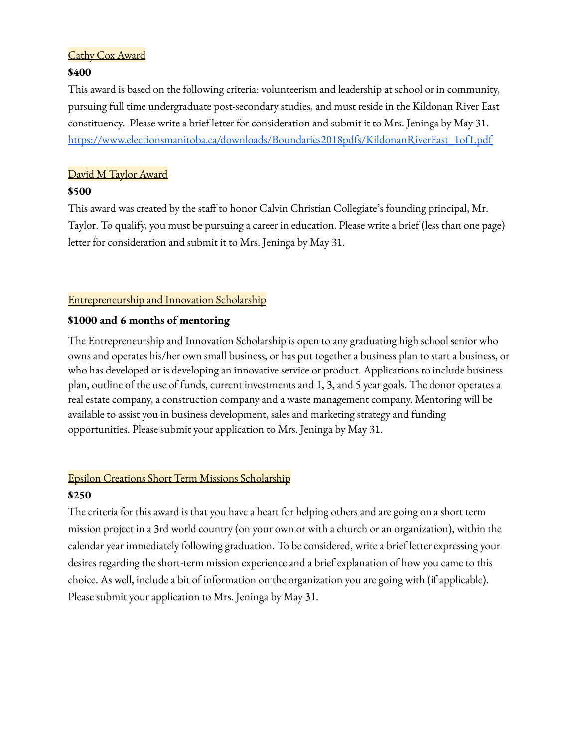#### Cathy Cox Award

#### **\$400**

This award is based on the following criteria: volunteerism and leadership at school or in community, pursuing full time undergraduate post-secondary studies, and must reside in the Kildonan River East constituency. Please write a brief letter for consideration and submit it to Mrs. Jeninga by May 31. [https://www.electionsmanitoba.ca/downloads/Boundaries2018pdfs/KildonanRiverEast\\_1of1.pdf](https://www.electionsmanitoba.ca/downloads/Boundaries2018pdfs/KildonanRiverEast_1of1.pdf)

### David M Taylor Award

#### **\$500**

This award was created by the staff to honor Calvin Christian Collegiate's founding principal, Mr. Taylor. To qualify, you must be pursuing a career in education. Please write a brief (less than one page) letter for consideration and submit it to Mrs. Jeninga by May 31.

#### Entrepreneurship and Innovation Scholarship

#### **\$1000 and 6 months of mentoring**

The Entrepreneurship and Innovation Scholarship is open to any graduating high school senior who owns and operates his/her own small business, or has put together a business plan to start a business, or who has developed or is developing an innovative service or product. Applications to include business plan, outline of the use of funds, current investments and 1, 3, and 5 year goals. The donor operates a real estate company, a construction company and a waste management company. Mentoring will be available to assist you in business development, sales and marketing strategy and funding opportunities. Please submit your application to Mrs. Jeninga by May 31.

# Epsilon Creations Short Term Missions Scholarship

#### **\$250**

The criteria for this award is that you have a heart for helping others and are going on a short term mission project in a 3rd world country (on your own or with a church or an organization), within the calendar year immediately following graduation. To be considered, write a brief letter expressing your desires regarding the short-term mission experience and a brief explanation of how you came to this choice. As well, include a bit of information on the organization you are going with (if applicable). Please submit your application to Mrs. Jeninga by May 31.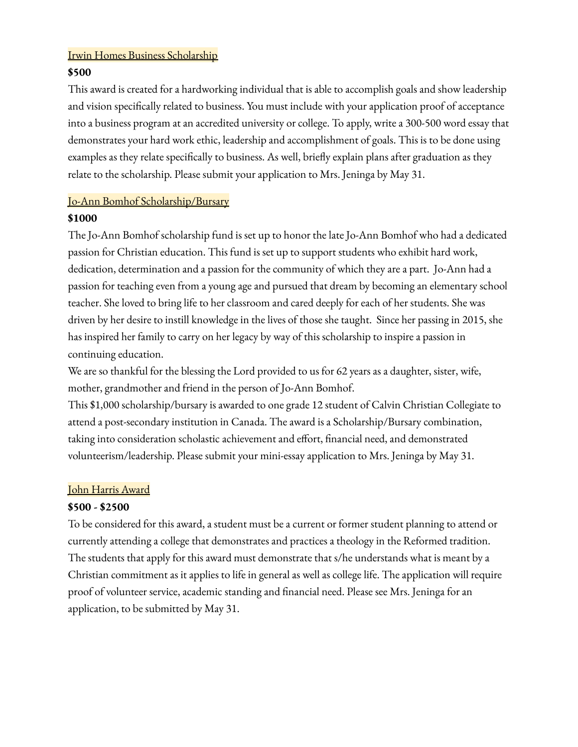#### Irwin Homes Business Scholarship

#### **\$500**

This award is created for a hardworking individual that is able to accomplish goals and show leadership and vision specifically related to business. You must include with your application proof of acceptance into a business program at an accredited university or college. To apply, write a 300-500 word essay that demonstrates your hard work ethic, leadership and accomplishment of goals. This is to be done using examples as they relate specifically to business. As well, briefly explain plans after graduation as they relate to the scholarship. Please submit your application to Mrs. Jeninga by May 31.

#### Jo-Ann Bomhof Scholarship/Bursary

#### **\$1000**

The Jo-Ann Bomhof scholarship fund is set up to honor the late Jo-Ann Bomhof who had a dedicated passion for Christian education. This fund is set up to support students who exhibit hard work, dedication, determination and a passion for the community of which they are a part. Jo-Ann had a passion for teaching even from a young age and pursued that dream by becoming an elementary school teacher. She loved to bring life to her classroom and cared deeply for each of her students. She was driven by her desire to instill knowledge in the lives of those she taught. Since her passing in 2015, she has inspired her family to carry on her legacy by way of this scholarship to inspire a passion in continuing education.

We are so thankful for the blessing the Lord provided to us for 62 years as a daughter, sister, wife, mother, grandmother and friend in the person of Jo-Ann Bomhof.

This \$1,000 scholarship/bursary is awarded to one grade 12 student of Calvin Christian Collegiate to attend a post-secondary institution in Canada. The award is a Scholarship/Bursary combination, taking into consideration scholastic achievement and effort, financial need, and demonstrated volunteerism/leadership. Please submit your mini-essay application to Mrs. Jeninga by May 31.

#### John Harris Award

#### **\$500 - \$2500**

To be considered for this award, a student must be a current or former student planning to attend or currently attending a college that demonstrates and practices a theology in the Reformed tradition. The students that apply for this award must demonstrate that s/he understands what is meant by a Christian commitment as it applies to life in general as well as college life. The application will require proof of volunteer service, academic standing and financial need. Please see Mrs. Jeninga for an application, to be submitted by May 31.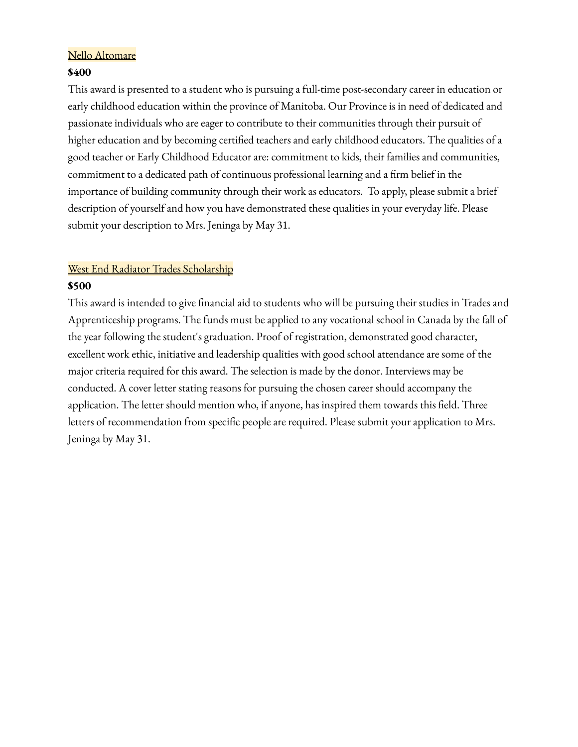#### Nello Altomare

#### **\$400**

This award is presented to a student who is pursuing a full-time post-secondary career in education or early childhood education within the province of Manitoba. Our Province is in need of dedicated and passionate individuals who are eager to contribute to their communities through their pursuit of higher education and by becoming certified teachers and early childhood educators. The qualities of a good teacher or Early Childhood Educator are: commitment to kids, their families and communities, commitment to a dedicated path of continuous professional learning and a firm belief in the importance of building community through their work as educators. To apply, please submit a brief description of yourself and how you have demonstrated these qualities in your everyday life. Please submit your description to Mrs. Jeninga by May 31.

## West End Radiator Trades Scholarship

#### **\$500**

This award is intended to give financial aid to students who will be pursuing their studies in Trades and Apprenticeship programs. The funds must be applied to any vocational school in Canada by the fall of the year following the student's graduation. Proof of registration, demonstrated good character, excellent work ethic, initiative and leadership qualities with good school attendance are some of the major criteria required for this award. The selection is made by the donor. Interviews may be conducted. A cover letter stating reasons for pursuing the chosen career should accompany the application. The letter should mention who, if anyone, has inspired them towards this field. Three letters of recommendation from specific people are required. Please submit your application to Mrs. Jeninga by May 31.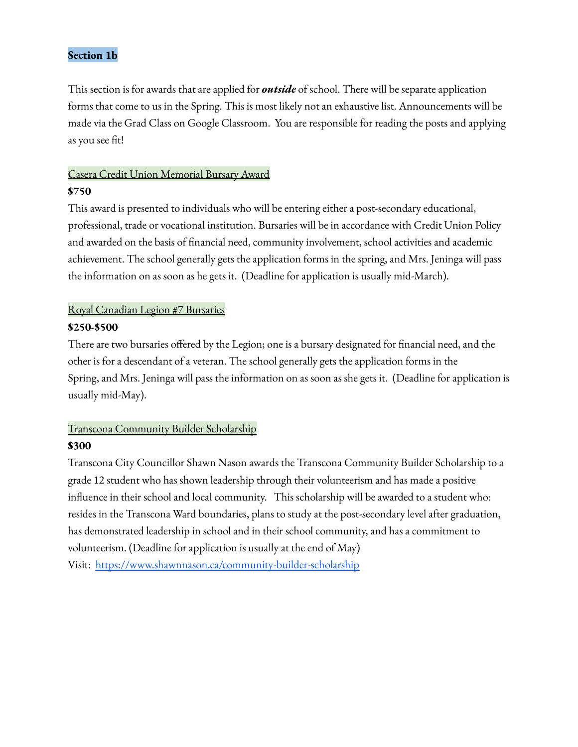#### **Section 1b**

This section is for awards that are applied for *outside* of school. There will be separate application forms that come to us in the Spring. This is most likely not an exhaustive list. Announcements will be made via the Grad Class on Google Classroom. You are responsible for reading the posts and applying as you see fit!

## Casera Credit Union Memorial Bursary Award

#### **\$750**

This award is presented to individuals who will be entering either a post-secondary educational, professional, trade or vocational institution. Bursaries will be in accordance with Credit Union Policy and awarded on the basis of financial need, community involvement, school activities and academic achievement. The school generally gets the application forms in the spring, and Mrs. Jeninga will pass the information on as soon as he gets it. (Deadline for application is usually mid-March).

#### Royal Canadian Legion #7 Bursaries

#### **\$250-\$500**

There are two bursaries offered by the Legion; one is a bursary designated for financial need, and the other is for a descendant of a veteran. The school generally gets the application forms in the Spring, and Mrs. Jeninga will pass the information on as soon as she gets it. (Deadline for application is usually mid-May).

## Transcona Community Builder Scholarship **\$300**

Transcona City Councillor Shawn Nason awards the Transcona Community Builder Scholarship to a grade 12 student who has shown leadership through their volunteerism and has made a positive influence in their school and local community. This scholarship will be awarded to a student who: resides in the Transcona Ward boundaries, plans to study at the post-secondary level after graduation, has demonstrated leadership in school and in their school community, and has a commitment to volunteerism. (Deadline for application is usually at the end of May) Visit: <https://www.shawnnason.ca/community-builder-scholarship>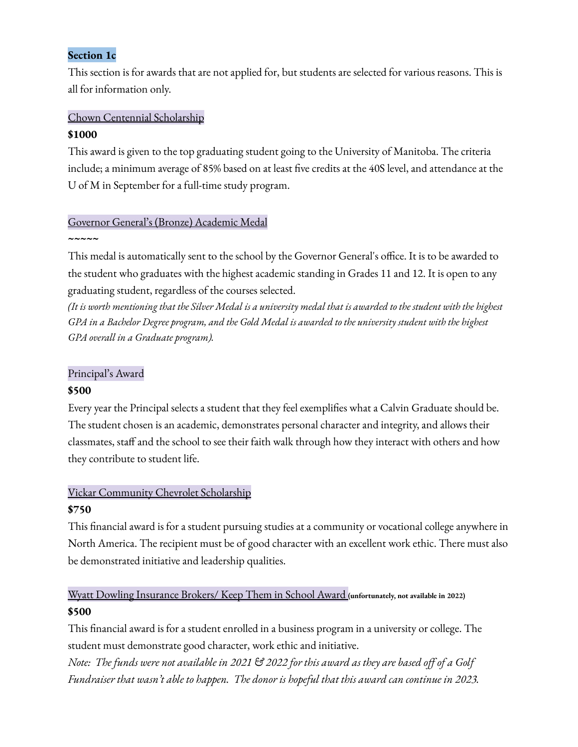#### **Section 1c**

This section is for awards that are not applied for, but students are selected for various reasons. This is all for information only.

#### Chown Centennial Scholarship **\$1000**

This award is given to the top graduating student going to the University of Manitoba. The criteria include; a minimum average of 85% based on at least five credits at the 40S level, and attendance at the U of M in September for a full-time study program.

## Governor General's (Bronze) Academic Medal

#### **~~~~~**

This medal is automatically sent to the school by the Governor General's office. It is to be awarded to the student who graduates with the highest academic standing in Grades 11 and 12. It is open to any graduating student, regardless of the courses selected.

(It is worth mentioning that the Silver Medal is a university medal that is awarded to the student with the highest GPA in a Bachelor Degree program, and the Gold Medal is awarded to the university student with the highest *GPA overall in a Graduate program).*

#### Principal's Award

#### **\$500**

Every year the Principal selects a student that they feel exemplifies what a Calvin Graduate should be. The student chosen is an academic, demonstrates personal character and integrity, and allows their classmates, staff and the school to see their faith walk through how they interact with others and how they contribute to student life.

## Vickar Community Chevrolet Scholarship

#### **\$750**

This financial award is for a student pursuing studies at a community or vocational college anywhere in North America. The recipient must be of good character with an excellent work ethic. There must also be demonstrated initiative and leadership qualities.

## Wyatt Dowling Insurance Brokers/ Keep Them in School Award **(unfortunately, not available in 2022) \$500**

This financial award is for a student enrolled in a business program in a university or college. The student must demonstrate good character, work ethic and initiative.

Note: The funds were not available in 2021  $\mathfrak{S}$  2022 for this award as they are based off of a Golf *Fundraiser that wasn't able to happen. The donor is hopeful that this award can continue in 2023.*